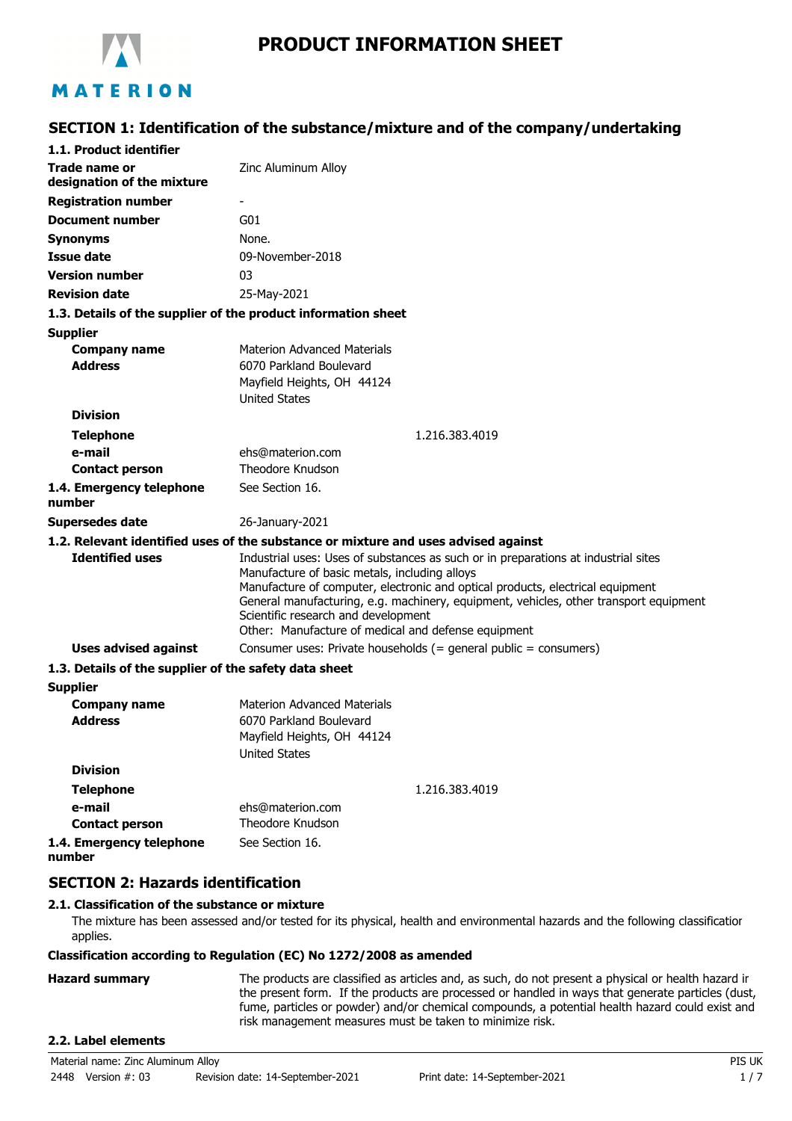

# **SECTION 1: Identification of the substance/mixture and of the company/undertaking**

| 1.1. Product identifier                               |                                                                                                                                                                                                                                                                                                                                                                                                              |
|-------------------------------------------------------|--------------------------------------------------------------------------------------------------------------------------------------------------------------------------------------------------------------------------------------------------------------------------------------------------------------------------------------------------------------------------------------------------------------|
| Trade name or                                         | Zinc Aluminum Alloy                                                                                                                                                                                                                                                                                                                                                                                          |
| designation of the mixture                            |                                                                                                                                                                                                                                                                                                                                                                                                              |
| <b>Registration number</b>                            |                                                                                                                                                                                                                                                                                                                                                                                                              |
| Document number                                       | G01                                                                                                                                                                                                                                                                                                                                                                                                          |
| <b>Synonyms</b>                                       | None.                                                                                                                                                                                                                                                                                                                                                                                                        |
| <b>Issue date</b>                                     | 09-November-2018                                                                                                                                                                                                                                                                                                                                                                                             |
| <b>Version number</b>                                 | 03                                                                                                                                                                                                                                                                                                                                                                                                           |
| <b>Revision date</b>                                  | 25-May-2021                                                                                                                                                                                                                                                                                                                                                                                                  |
|                                                       | 1.3. Details of the supplier of the product information sheet                                                                                                                                                                                                                                                                                                                                                |
| <b>Supplier</b>                                       |                                                                                                                                                                                                                                                                                                                                                                                                              |
| <b>Company name</b>                                   | <b>Materion Advanced Materials</b>                                                                                                                                                                                                                                                                                                                                                                           |
| <b>Address</b>                                        | 6070 Parkland Boulevard                                                                                                                                                                                                                                                                                                                                                                                      |
|                                                       | Mayfield Heights, OH 44124                                                                                                                                                                                                                                                                                                                                                                                   |
|                                                       | <b>United States</b>                                                                                                                                                                                                                                                                                                                                                                                         |
| <b>Division</b>                                       |                                                                                                                                                                                                                                                                                                                                                                                                              |
| <b>Telephone</b>                                      | 1.216.383.4019                                                                                                                                                                                                                                                                                                                                                                                               |
| e-mail                                                | ehs@materion.com                                                                                                                                                                                                                                                                                                                                                                                             |
| <b>Contact person</b>                                 | Theodore Knudson                                                                                                                                                                                                                                                                                                                                                                                             |
| 1.4. Emergency telephone<br>number                    | See Section 16.                                                                                                                                                                                                                                                                                                                                                                                              |
| <b>Supersedes date</b>                                | 26-January-2021                                                                                                                                                                                                                                                                                                                                                                                              |
|                                                       | 1.2. Relevant identified uses of the substance or mixture and uses advised against                                                                                                                                                                                                                                                                                                                           |
| <b>Identified uses</b>                                | Industrial uses: Uses of substances as such or in preparations at industrial sites<br>Manufacture of basic metals, including alloys<br>Manufacture of computer, electronic and optical products, electrical equipment<br>General manufacturing, e.g. machinery, equipment, vehicles, other transport equipment<br>Scientific research and development<br>Other: Manufacture of medical and defense equipment |
| <b>Uses advised against</b>                           | Consumer uses: Private households (= general public = consumers)                                                                                                                                                                                                                                                                                                                                             |
| 1.3. Details of the supplier of the safety data sheet |                                                                                                                                                                                                                                                                                                                                                                                                              |
| <b>Supplier</b>                                       |                                                                                                                                                                                                                                                                                                                                                                                                              |
| <b>Company name</b><br><b>Address</b>                 | Materion Advanced Materials<br>6070 Parkland Boulevard<br>Mayfield Heights, OH 44124<br><b>United States</b>                                                                                                                                                                                                                                                                                                 |
| <b>Division</b>                                       |                                                                                                                                                                                                                                                                                                                                                                                                              |
| <b>Telephone</b>                                      | 1.216.383.4019                                                                                                                                                                                                                                                                                                                                                                                               |
| e-mail                                                | ehs@materion.com                                                                                                                                                                                                                                                                                                                                                                                             |
| <b>Contact person</b>                                 | Theodore Knudson                                                                                                                                                                                                                                                                                                                                                                                             |
| 1.4. Emergency telephone<br>number                    | See Section 16.                                                                                                                                                                                                                                                                                                                                                                                              |

### **SECTION 2: Hazards identification**

#### **2.1. Classification of the substance or mixture**

The mixture has been assessed and/or tested for its physical, health and environmental hazards and the following classification applies.

#### **Classification according to Regulation (EC) No 1272/2008 as amended**

#### **Hazard summary** The products are classified as articles and, as such, do not present a physical or health hazard in the present form. If the products are processed or handled in ways that generate particles (dust, fume, particles or powder) and/or chemical compounds, a potential health hazard could exist and risk management measures must be taken to minimize risk.

### **2.2. Label elements**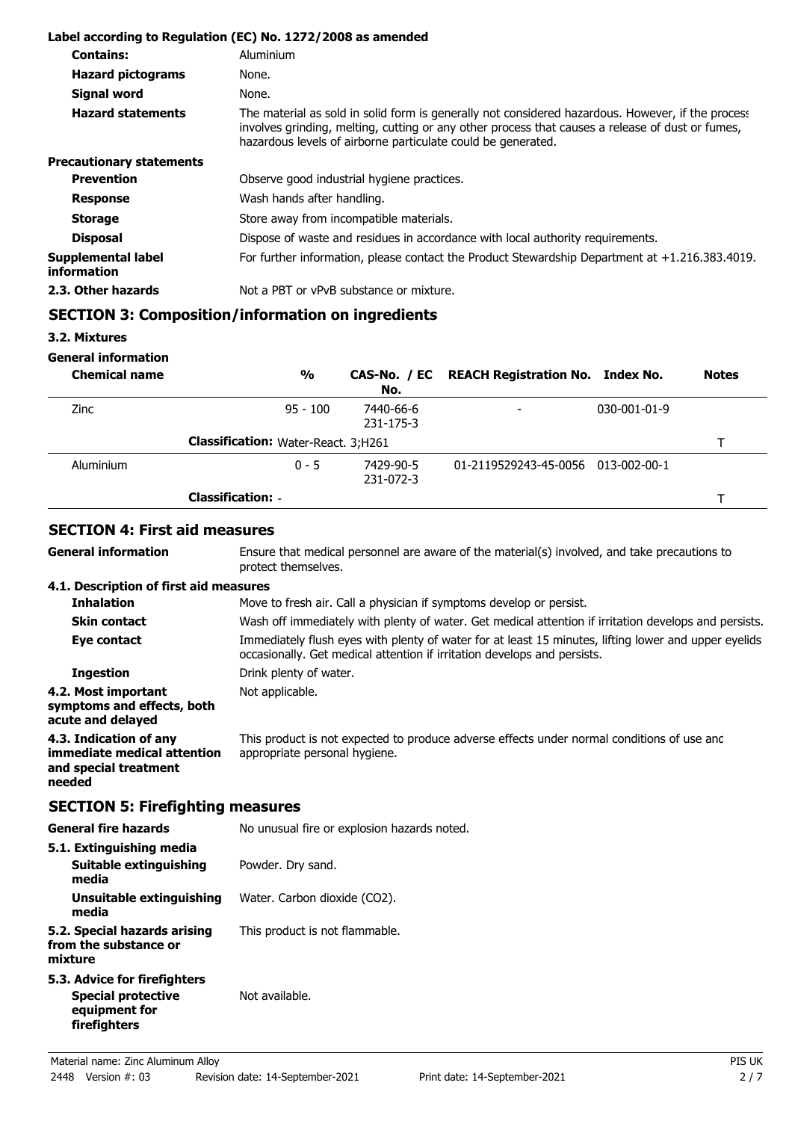|                                   | Label according to Regulation (EC) No. 1272/2008 as amended                                                                                                                                                                                                           |
|-----------------------------------|-----------------------------------------------------------------------------------------------------------------------------------------------------------------------------------------------------------------------------------------------------------------------|
| <b>Contains:</b>                  | Aluminium                                                                                                                                                                                                                                                             |
| <b>Hazard pictograms</b>          | None.                                                                                                                                                                                                                                                                 |
| Signal word                       | None.                                                                                                                                                                                                                                                                 |
| <b>Hazard statements</b>          | The material as sold in solid form is generally not considered hazardous. However, if the process<br>involves grinding, melting, cutting or any other process that causes a release of dust or fumes,<br>hazardous levels of airborne particulate could be generated. |
| <b>Precautionary statements</b>   |                                                                                                                                                                                                                                                                       |
| <b>Prevention</b>                 | Observe good industrial hygiene practices.                                                                                                                                                                                                                            |
| <b>Response</b>                   | Wash hands after handling.                                                                                                                                                                                                                                            |
| <b>Storage</b>                    | Store away from incompatible materials.                                                                                                                                                                                                                               |
| <b>Disposal</b>                   | Dispose of waste and residues in accordance with local authority requirements.                                                                                                                                                                                        |
| Supplemental label<br>information | For further information, please contact the Product Stewardship Department at $+1.216.383.4019$ .                                                                                                                                                                     |
| 2.3. Other hazards                | Not a PBT or vPvB substance or mixture.                                                                                                                                                                                                                               |

# **SECTION 3: Composition/information on ingredients**

**3.2. Mixtures**

**General information**

**General information**

| <b>Chemical name</b> | $\frac{0}{0}$                              | No.                    | CAS-No. / EC REACH Registration No. Index No. |                      | <b>Notes</b> |
|----------------------|--------------------------------------------|------------------------|-----------------------------------------------|----------------------|--------------|
| Zinc                 | $95 - 100$                                 | 7440-66-6<br>231-175-3 | $\overline{\phantom{a}}$                      | $030 - 001 - 01 - 9$ |              |
|                      | <b>Classification: Water-React. 3;H261</b> |                        |                                               |                      |              |
| Aluminium            | $0 - 5$                                    | 7429-90-5<br>231-072-3 | 01-2119529243-45-0056 013-002-00-1            |                      |              |
|                      | <b>Classification: -</b>                   |                        |                                               |                      |              |

### **SECTION 4: First aid measures**

Ensure that medical personnel are aware of the material(s) involved, and take precautions to protect themselves.

#### **4.1. Description of first aid measures**

| <b>Inhalation</b>                                                                        | Move to fresh air. Call a physician if symptoms develop or persist.                                                                                                              |
|------------------------------------------------------------------------------------------|----------------------------------------------------------------------------------------------------------------------------------------------------------------------------------|
| <b>Skin contact</b>                                                                      | Wash off immediately with plenty of water. Get medical attention if irritation develops and persists.                                                                            |
| Eye contact                                                                              | Immediately flush eyes with plenty of water for at least 15 minutes, lifting lower and upper eyelids<br>occasionally. Get medical attention if irritation develops and persists. |
| <b>Ingestion</b>                                                                         | Drink plenty of water.                                                                                                                                                           |
| 4.2. Most important<br>symptoms and effects, both<br>acute and delayed                   | Not applicable.                                                                                                                                                                  |
| 4.3. Indication of any<br>immediate medical attention<br>and special treatment<br>needed | This product is not expected to produce adverse effects under normal conditions of use and<br>appropriate personal hygiene.                                                      |

### **SECTION 5: Firefighting measures**

| <b>General fire hazards</b>                                                                | No unusual fire or explosion hazards noted. |
|--------------------------------------------------------------------------------------------|---------------------------------------------|
| 5.1. Extinguishing media                                                                   |                                             |
| Suitable extinguishing<br>media                                                            | Powder. Dry sand.                           |
| Unsuitable extinguishing<br>media                                                          | Water. Carbon dioxide (CO2).                |
| 5.2. Special hazards arising<br>from the substance or<br>mixture                           | This product is not flammable.              |
| 5.3. Advice for firefighters<br><b>Special protective</b><br>equipment for<br>firefighters | Not available.                              |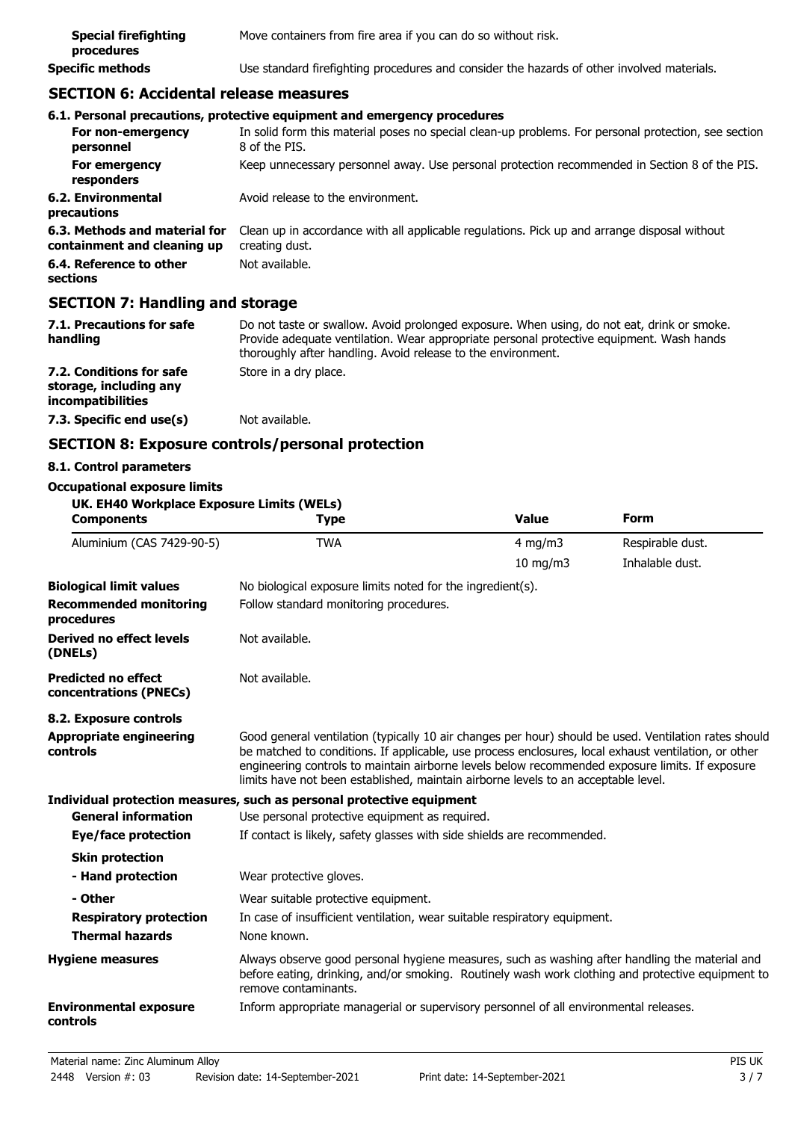| <b>Special firefighting</b><br>procedures | Move containers from fire area if you can do so without risk.                              |
|-------------------------------------------|--------------------------------------------------------------------------------------------|
| <b>Specific methods</b>                   | Use standard firefighting procedures and consider the hazards of other involved materials. |

### **SECTION 6: Accidental release measures**

|                                                              | 6.1. Personal precautions, protective equipment and emergency procedures                                              |
|--------------------------------------------------------------|-----------------------------------------------------------------------------------------------------------------------|
| For non-emergency<br>personnel                               | In solid form this material poses no special clean-up problems. For personal protection, see section<br>8 of the PIS. |
| For emergency<br>responders                                  | Keep unnecessary personnel away. Use personal protection recommended in Section 8 of the PIS.                         |
| 6.2. Environmental<br>precautions                            | Avoid release to the environment.                                                                                     |
| 6.3. Methods and material for<br>containment and cleaning up | Clean up in accordance with all applicable regulations. Pick up and arrange disposal without<br>creating dust.        |
| 6.4. Reference to other<br>sections                          | Not available.                                                                                                        |
| ----------                                                   |                                                                                                                       |

#### **SECTION 7: Handling and storage**

| 7.1. Precautions for safe<br>handling                                   | Do not taste or swallow. Avoid prolonged exposure. When using, do not eat, drink or smoke.<br>Provide adequate ventilation. Wear appropriate personal protective equipment. Wash hands<br>thoroughly after handling. Avoid release to the environment. |
|-------------------------------------------------------------------------|--------------------------------------------------------------------------------------------------------------------------------------------------------------------------------------------------------------------------------------------------------|
| 7.2. Conditions for safe<br>storage, including any<br>incompatibilities | Store in a dry place.                                                                                                                                                                                                                                  |
| 7.3. Specific end use(s)                                                | Not available.                                                                                                                                                                                                                                         |

## **SECTION 8: Exposure controls/personal protection**

### **8.1. Control parameters**

**Occupational exposure limits**

### **UK. EH40 Workplace Exposure Limits (WELs)**

| <b>Components</b>                                    | <b>Type</b>                                                                                                                                                                                                                                                                                                                                                                                            | <b>Value</b>      | <b>Form</b>      |  |
|------------------------------------------------------|--------------------------------------------------------------------------------------------------------------------------------------------------------------------------------------------------------------------------------------------------------------------------------------------------------------------------------------------------------------------------------------------------------|-------------------|------------------|--|
| Aluminium (CAS 7429-90-5)                            | <b>TWA</b>                                                                                                                                                                                                                                                                                                                                                                                             | $4$ mg/m $3$      | Respirable dust. |  |
|                                                      |                                                                                                                                                                                                                                                                                                                                                                                                        | $10 \text{ mg/m}$ | Inhalable dust.  |  |
| <b>Biological limit values</b>                       | No biological exposure limits noted for the ingredient(s).                                                                                                                                                                                                                                                                                                                                             |                   |                  |  |
| <b>Recommended monitoring</b><br>procedures          | Follow standard monitoring procedures.                                                                                                                                                                                                                                                                                                                                                                 |                   |                  |  |
| Derived no effect levels<br>(DNELs)                  | Not available.                                                                                                                                                                                                                                                                                                                                                                                         |                   |                  |  |
| <b>Predicted no effect</b><br>concentrations (PNECs) | Not available.                                                                                                                                                                                                                                                                                                                                                                                         |                   |                  |  |
| 8.2. Exposure controls                               |                                                                                                                                                                                                                                                                                                                                                                                                        |                   |                  |  |
| <b>Appropriate engineering</b><br>controls           | Good general ventilation (typically 10 air changes per hour) should be used. Ventilation rates should<br>be matched to conditions. If applicable, use process enclosures, local exhaust ventilation, or other<br>engineering controls to maintain airborne levels below recommended exposure limits. If exposure<br>limits have not been established, maintain airborne levels to an acceptable level. |                   |                  |  |
|                                                      | Individual protection measures, such as personal protective equipment                                                                                                                                                                                                                                                                                                                                  |                   |                  |  |
| <b>General information</b>                           | Use personal protective equipment as required.                                                                                                                                                                                                                                                                                                                                                         |                   |                  |  |
| Eye/face protection                                  | If contact is likely, safety glasses with side shields are recommended.                                                                                                                                                                                                                                                                                                                                |                   |                  |  |
| <b>Skin protection</b>                               |                                                                                                                                                                                                                                                                                                                                                                                                        |                   |                  |  |
| - Hand protection                                    | Wear protective gloves.                                                                                                                                                                                                                                                                                                                                                                                |                   |                  |  |
| - Other                                              | Wear suitable protective equipment.                                                                                                                                                                                                                                                                                                                                                                    |                   |                  |  |
| <b>Respiratory protection</b>                        | In case of insufficient ventilation, wear suitable respiratory equipment.                                                                                                                                                                                                                                                                                                                              |                   |                  |  |
| <b>Thermal hazards</b>                               | None known.                                                                                                                                                                                                                                                                                                                                                                                            |                   |                  |  |
| <b>Hygiene measures</b>                              | Always observe good personal hygiene measures, such as washing after handling the material and<br>before eating, drinking, and/or smoking. Routinely wash work clothing and protective equipment to<br>remove contaminants.                                                                                                                                                                            |                   |                  |  |
| <b>Environmental exposure</b><br>controls            | Inform appropriate managerial or supervisory personnel of all environmental releases.                                                                                                                                                                                                                                                                                                                  |                   |                  |  |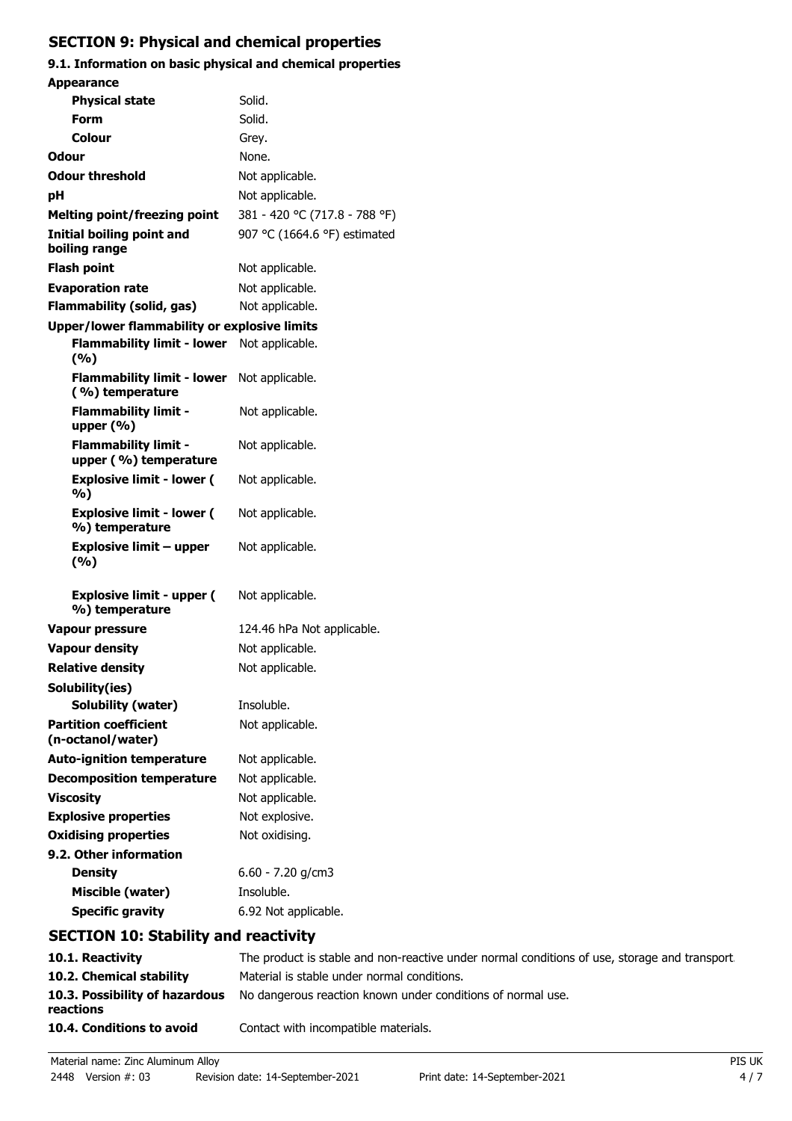# **SECTION 9: Physical and chemical properties**

### **9.1. Information on basic physical and chemical properties Appearance**

| Appearance                                           |                               |
|------------------------------------------------------|-------------------------------|
| <b>Physical state</b>                                | Solid.                        |
| Form                                                 | Solid.                        |
| Colour                                               | Grey.                         |
| Odour                                                | None.                         |
| <b>Odour threshold</b>                               | Not applicable.               |
| рH                                                   | Not applicable.               |
| <b>Melting point/freezing point</b>                  | 381 - 420 °C (717.8 - 788 °F) |
| <b>Initial boiling point and</b><br>boiling range    | 907 °C (1664.6 °F) estimated  |
| <b>Flash point</b>                                   | Not applicable.               |
| <b>Evaporation rate</b>                              | Not applicable.               |
| Flammability (solid, gas)                            | Not applicable.               |
| <b>Upper/lower flammability or explosive limits</b>  |                               |
| <b>Flammability limit - lower</b><br>(9/6)           | Not applicable.               |
| <b>Flammability limit - lower</b><br>(%) temperature | Not applicable.               |
| <b>Flammability limit -</b><br>upper $(% )$          | Not applicable.               |
| <b>Flammability limit -</b><br>upper (%) temperature | Not applicable.               |
| <b>Explosive limit - lower (</b><br>%)               | Not applicable.               |
| <b>Explosive limit - lower (</b><br>%) temperature   | Not applicable.               |
| <b>Explosive limit - upper</b><br>(%)                | Not applicable.               |
| <b>Explosive limit - upper (</b><br>%) temperature   | Not applicable.               |
| <b>Vapour pressure</b>                               | 124.46 hPa Not applicable.    |
| <b>Vapour density</b>                                | Not applicable.               |
| <b>Relative density</b>                              | Not applicable.               |
| Solubility(ies)                                      |                               |
| Solubility (water)                                   | Insoluble.                    |
| <b>Partition coefficient</b><br>(n-octanol/water)    | Not applicable.               |
| <b>Auto-ignition temperature</b>                     | Not applicable.               |
| <b>Decomposition temperature</b>                     | Not applicable.               |
| <b>Viscosity</b>                                     | Not applicable.               |
| <b>Explosive properties</b>                          | Not explosive.                |
| <b>Oxidising properties</b>                          | Not oxidising.                |
| 9.2. Other information                               |                               |
| <b>Density</b>                                       | $6.60 - 7.20$ g/cm3           |
| Miscible (water)                                     | Insoluble.                    |
| <b>Specific gravity</b>                              | 6.92 Not applicable.          |
| <b>SECTION 10: Stability and reactivity</b>          |                               |

| 10.1. Reactivity                            | The product is stable and non-reactive under normal conditions of use, storage and transport. |
|---------------------------------------------|-----------------------------------------------------------------------------------------------|
| 10.2. Chemical stability                    | Material is stable under normal conditions.                                                   |
| 10.3. Possibility of hazardous<br>reactions | No dangerous reaction known under conditions of normal use.                                   |
| 10.4. Conditions to avoid                   | Contact with incompatible materials.                                                          |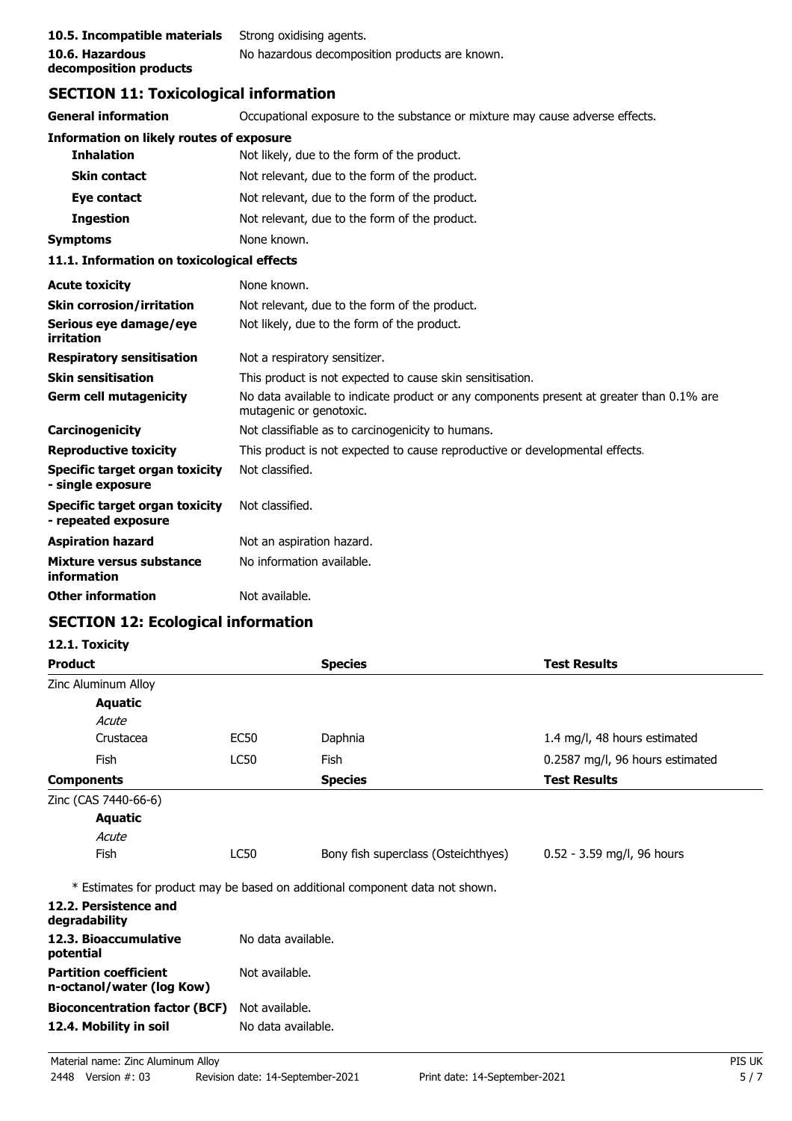| 10.5. Incompatible materials | Strong oxidising agents.                       |
|------------------------------|------------------------------------------------|
| 10.6. Hazardous              | No hazardous decomposition products are known. |
| decomposition products       |                                                |

# **SECTION 11: Toxicological information**

| <b>General information</b>                            | Occupational exposure to the substance or mixture may cause adverse effects.                                        |  |  |
|-------------------------------------------------------|---------------------------------------------------------------------------------------------------------------------|--|--|
| <b>Information on likely routes of exposure</b>       |                                                                                                                     |  |  |
| <b>Inhalation</b>                                     | Not likely, due to the form of the product.                                                                         |  |  |
| <b>Skin contact</b>                                   | Not relevant, due to the form of the product.                                                                       |  |  |
| Eye contact                                           | Not relevant, due to the form of the product.                                                                       |  |  |
| <b>Ingestion</b>                                      | Not relevant, due to the form of the product.                                                                       |  |  |
| <b>Symptoms</b>                                       | None known.                                                                                                         |  |  |
| 11.1. Information on toxicological effects            |                                                                                                                     |  |  |
| <b>Acute toxicity</b>                                 | None known.                                                                                                         |  |  |
| <b>Skin corrosion/irritation</b>                      | Not relevant, due to the form of the product.                                                                       |  |  |
| Serious eye damage/eye<br>irritation                  | Not likely, due to the form of the product.                                                                         |  |  |
| <b>Respiratory sensitisation</b>                      | Not a respiratory sensitizer.                                                                                       |  |  |
| <b>Skin sensitisation</b>                             | This product is not expected to cause skin sensitisation.                                                           |  |  |
| <b>Germ cell mutagenicity</b>                         | No data available to indicate product or any components present at greater than 0.1% are<br>mutagenic or genotoxic. |  |  |
| Carcinogenicity                                       | Not classifiable as to carcinogenicity to humans.                                                                   |  |  |
| <b>Reproductive toxicity</b>                          | This product is not expected to cause reproductive or developmental effects.                                        |  |  |
| Specific target organ toxicity<br>- single exposure   | Not classified.                                                                                                     |  |  |
| Specific target organ toxicity<br>- repeated exposure | Not classified.                                                                                                     |  |  |
| <b>Aspiration hazard</b>                              | Not an aspiration hazard.                                                                                           |  |  |
| Mixture versus substance<br>information               | No information available.                                                                                           |  |  |
| <b>Other information</b>                              | Not available.                                                                                                      |  |  |

# **SECTION 12: Ecological information**

| <b>Product</b>                                            |                | <b>Species</b>                                                               | <b>Test Results</b>             |  |
|-----------------------------------------------------------|----------------|------------------------------------------------------------------------------|---------------------------------|--|
| Zinc Aluminum Alloy                                       |                |                                                                              |                                 |  |
| <b>Aquatic</b>                                            |                |                                                                              |                                 |  |
| Acute                                                     |                |                                                                              |                                 |  |
| Crustacea                                                 | <b>EC50</b>    | Daphnia                                                                      | 1.4 mg/l, 48 hours estimated    |  |
| Fish                                                      | <b>LC50</b>    | Fish                                                                         | 0.2587 mg/l, 96 hours estimated |  |
| <b>Components</b>                                         |                | <b>Species</b>                                                               | <b>Test Results</b>             |  |
| Zinc (CAS 7440-66-6)                                      |                |                                                                              |                                 |  |
| <b>Aquatic</b>                                            |                |                                                                              |                                 |  |
| Acute                                                     |                |                                                                              |                                 |  |
| Fish                                                      | LC50           | Bony fish superclass (Osteichthyes)                                          | $0.52 - 3.59$ mg/l, 96 hours    |  |
|                                                           |                | * Estimates for product may be based on additional component data not shown. |                                 |  |
| 12.2. Persistence and<br>degradability                    |                |                                                                              |                                 |  |
| 12.3. Bioaccumulative<br>potential                        |                | No data available.                                                           |                                 |  |
| <b>Partition coefficient</b><br>n-octanol/water (log Kow) | Not available. |                                                                              |                                 |  |
| <b>Bioconcentration factor (BCF)</b>                      | Not available. |                                                                              |                                 |  |
| 12.4. Mobility in soil                                    |                | No data available.                                                           |                                 |  |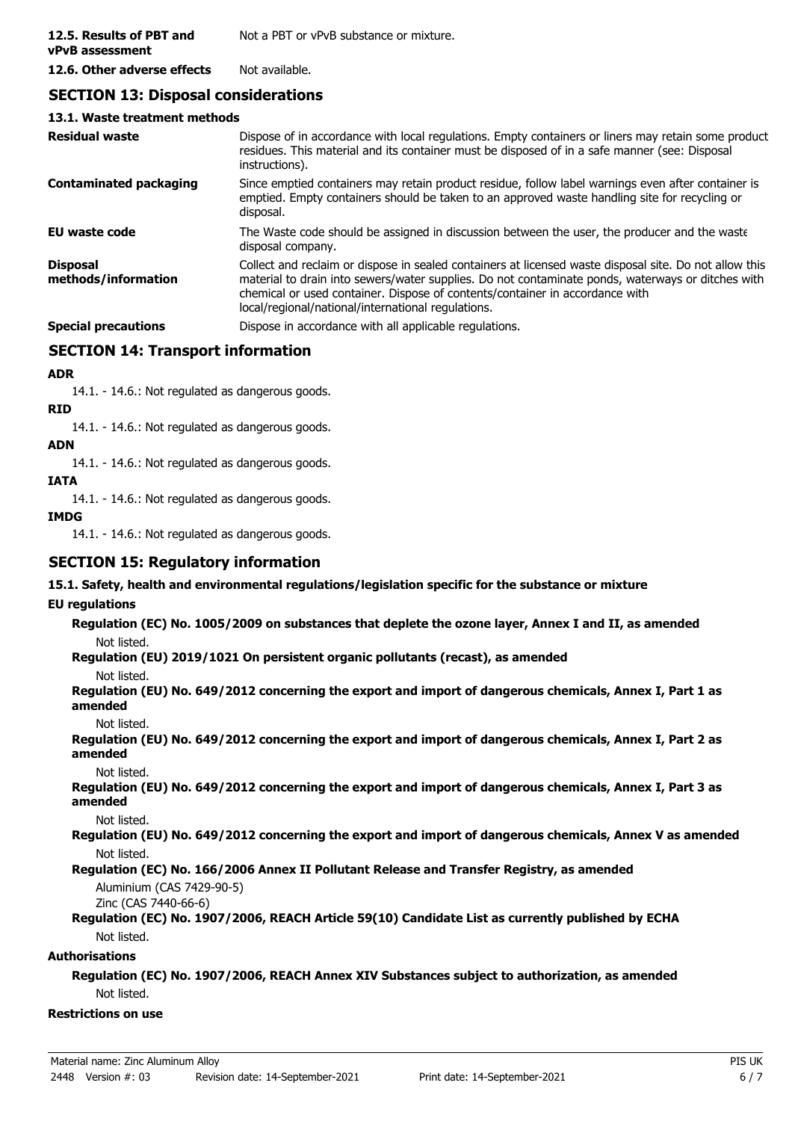### **SECTION 13: Disposal considerations**

#### **13.1. Waste treatment methods**

| <b>Residual waste</b>                  | Dispose of in accordance with local regulations. Empty containers or liners may retain some product<br>residues. This material and its container must be disposed of in a safe manner (see: Disposal<br>instructions).                                                                                                                            |
|----------------------------------------|---------------------------------------------------------------------------------------------------------------------------------------------------------------------------------------------------------------------------------------------------------------------------------------------------------------------------------------------------|
| <b>Contaminated packaging</b>          | Since emptied containers may retain product residue, follow label warnings even after container is<br>emptied. Empty containers should be taken to an approved waste handling site for recycling or<br>disposal.                                                                                                                                  |
| <b>EU waste code</b>                   | The Waste code should be assigned in discussion between the user, the producer and the waste<br>disposal company.                                                                                                                                                                                                                                 |
| <b>Disposal</b><br>methods/information | Collect and reclaim or dispose in sealed containers at licensed waste disposal site. Do not allow this<br>material to drain into sewers/water supplies. Do not contaminate ponds, waterways or ditches with<br>chemical or used container. Dispose of contents/container in accordance with<br>local/regional/national/international regulations. |
| <b>Special precautions</b>             | Dispose in accordance with all applicable regulations.                                                                                                                                                                                                                                                                                            |

### **SECTION 14: Transport information**

### **ADR**

14.1. - 14.6.: Not regulated as dangerous goods.

### **RID**

14.1. - 14.6.: Not regulated as dangerous goods.

### **ADN**

14.1. - 14.6.: Not regulated as dangerous goods.

### **IATA**

14.1. - 14.6.: Not regulated as dangerous goods.

#### **IMDG**

14.1. - 14.6.: Not regulated as dangerous goods.

### **SECTION 15: Regulatory information**

**15.1. Safety, health and environmental regulations/legislation specific for the substance or mixture**

### **EU regulations**

**Regulation (EC) No. 1005/2009 on substances that deplete the ozone layer, Annex I and II, as amended** Not listed.

**Regulation (EU) 2019/1021 On persistent organic pollutants (recast), as amended**

#### Not listed.

**Regulation (EU) No. 649/2012 concerning the export and import of dangerous chemicals, Annex I, Part 1 as amended**

Not listed.

**Regulation (EU) No. 649/2012 concerning the export and import of dangerous chemicals, Annex I, Part 2 as amended**

#### Not listed.

**Regulation (EU) No. 649/2012 concerning the export and import of dangerous chemicals, Annex I, Part 3 as amended**

Not listed.

**Regulation (EU) No. 649/2012 concerning the export and import of dangerous chemicals, Annex V as amended** Not listed.

### **Regulation (EC) No. 166/2006 Annex II Pollutant Release and Transfer Registry, as amended**

Aluminium (CAS 7429-90-5)

Zinc (CAS 7440-66-6)

#### **Regulation (EC) No. 1907/2006, REACH Article 59(10) Candidate List as currently published by ECHA** Not listed.

### **Authorisations**

### **Regulation (EC) No. 1907/2006, REACH Annex XIV Substances subject to authorization, as amended** Not listed.

#### **Restrictions on use**